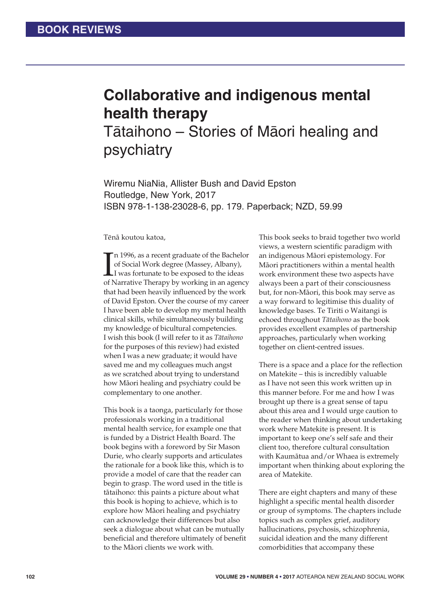## **Collaborative and indigenous mental health therapy**

Tātaihono – Stories of Māori healing and psychiatry

Wiremu NiaNia, Allister Bush and David Epston Routledge, New York, 2017 ISBN 978-1-138-23028-6, pp. 179. Paperback; NZD, 59.99

Tēnā koutou katoa,

 $\prod_{\rm of~I}$ n 1996, as a recent graduate of the Bachelor of Social Work degree (Massey, Albany), I was fortunate to be exposed to the ideas of Narrative Therapy by working in an agency that had been heavily influenced by the work of David Epston. Over the course of my career I have been able to develop my mental health clinical skills, while simultaneously building my knowledge of bicultural competencies. I wish this book (I will refer to it as *Tātaihono* for the purposes of this review) had existed when I was a new graduate; it would have saved me and my colleagues much angst as we scratched about trying to understand how Máori healing and psychiatry could be complementary to one another.

This book is a taonga, particularly for those professionals working in a traditional mental health service, for example one that is funded by a District Health Board. The book begins with a foreword by Sir Mason Durie, who clearly supports and articulates the rationale for a book like this, which is to provide a model of care that the reader can begin to grasp. The word used in the title is tátaihono: this paints a picture about what this book is hoping to achieve, which is to explore how Máori healing and psychiatry can acknowledge their differences but also seek a dialogue about what can be mutually beneficial and therefore ultimately of benefit to the Máori clients we work with.

This book seeks to braid together two world views, a western scientific paradigm with an indigenous Máori epistemology. For Máori practitioners within a mental health work environment these two aspects have always been a part of their consciousness but, for non-Máori, this book may serve as a way forward to legitimise this duality of knowledge bases. Te Tiriti o Waitangi is echoed throughout *Tātaihono* as the book provides excellent examples of partnership approaches, particularly when working together on client-centred issues.

There is a space and a place for the reflection on Matekite – this is incredibly valuable as I have not seen this work written up in this manner before. For me and how I was brought up there is a great sense of tapu about this area and I would urge caution to the reader when thinking about undertaking work where Matekite is present. It is important to keep one's self safe and their client too, therefore cultural consultation with Kaumátua and/or Whaea is extremely important when thinking about exploring the area of Matekite.

There are eight chapters and many of these highlight a specific mental health disorder or group of symptoms. The chapters include topics such as complex grief, auditory hallucinations, psychosis, schizophrenia, suicidal ideation and the many different comorbidities that accompany these